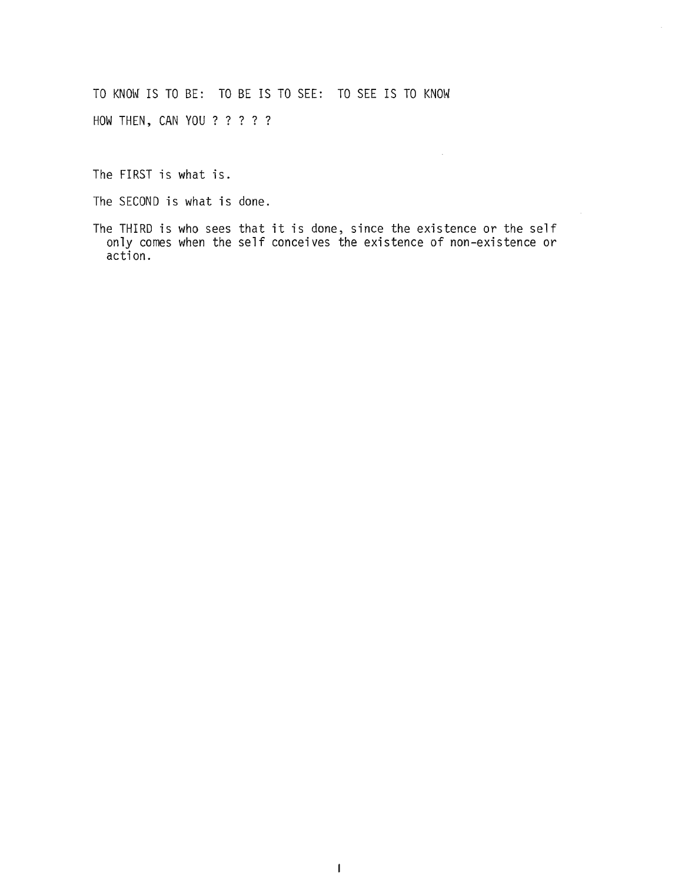TO KNOW IS TO BE: TO BE IS TO SEE: TO SEE IS TO KNOW HOW THEN, CAN YOU ? ? ? ? ?

The FIRST is what is.

The SECOND is what is done.

The THIRD is who sees that it is done, since the existence or the self only comes when the self conceives the existence of non-existence or action.

 $\mathcal{L}^{\mathcal{L}}$ 

 $\alpha$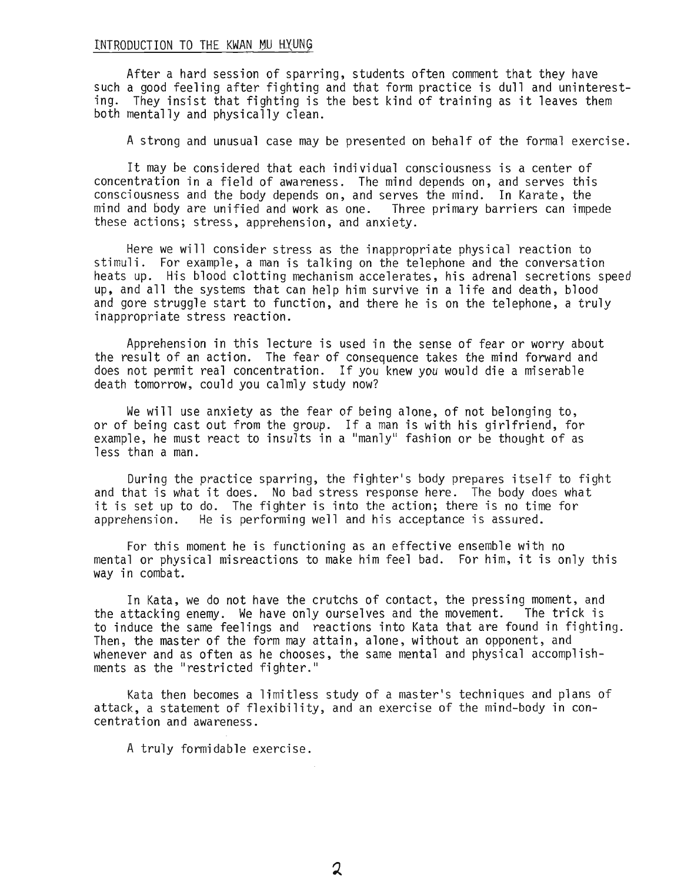#### INTRODUCTION TO THE KWAN MU HYUNG

After a hard session of sparring, students often comment that they have such a good feeling after fighting and that form practice is dull and uninteresting. They insist that fighting is the best kind of training as it leaves them both mentally and physically clean.

A strong and unusual case may be presented on behalf of the formal exercise.

It may be considered that each individual consciousness is a center of concentration in a field of awareness. The mind depends on, and serves this consciousness and the body depends on, and serves the mind. In Karate, the mind and body are unified and work as one. Three primary barriers can impede these actions; stress, apprehension, and anxiety.

Here we will consider stress as the inappropriate physical reaction to stimuli. For example, a man is talking on the telephone and the conversation heats up. His blood clotting mechanism accelerates, his adrenal secretions speed up, and all the systems that can help him survive in a life and death, blood and gore struggle start to function, and there he is on the telephone, a truly inappropriate stress reaction.

Apprehension in this lecture is used in the sense of fear or worry about the result of an action. The fear of consequence takes the mind forward and does not permit real concentration. If you knew you would die a miserable death tomorrow, could you calmly study now?

We will use anxiety as the fear of being alone, of not belonging to, or of being cast out from the group. If a man is with his girlfriend, for example, he must react to insults in a "manly" fashion or be thought of as less than a man.

During the practice sparring, the fighter's body prepares itself to fight and that is what it does. No bad stress response here. The body does what it is set up to do. The fighter is into the action; there is no time for apprehension. He is performing well and his acceptance is assured.

For this moment he is functioning as an effective ensemble with no mental or physical misreactions to make him feel bad. For him, it is only this way in combat.

In Kata, we do not have the crutchs of contact, the pressing moment, and the attacking enemy. We have only ourselves and the movement. The trick is to induce the same feelings and reactions into Kata that are found in fighting. Then, the master of the form may attain, alone, without an opponent, and whenever and as often as he chooses, the same mental and physical accomplishments as the "restricted fighter."

Kata then becomes a limitless study of a master's techniques and plans of attack, a statement of flexibility, and an exercise of the mind-body in concentration and awareness.

A truly formidable exercise.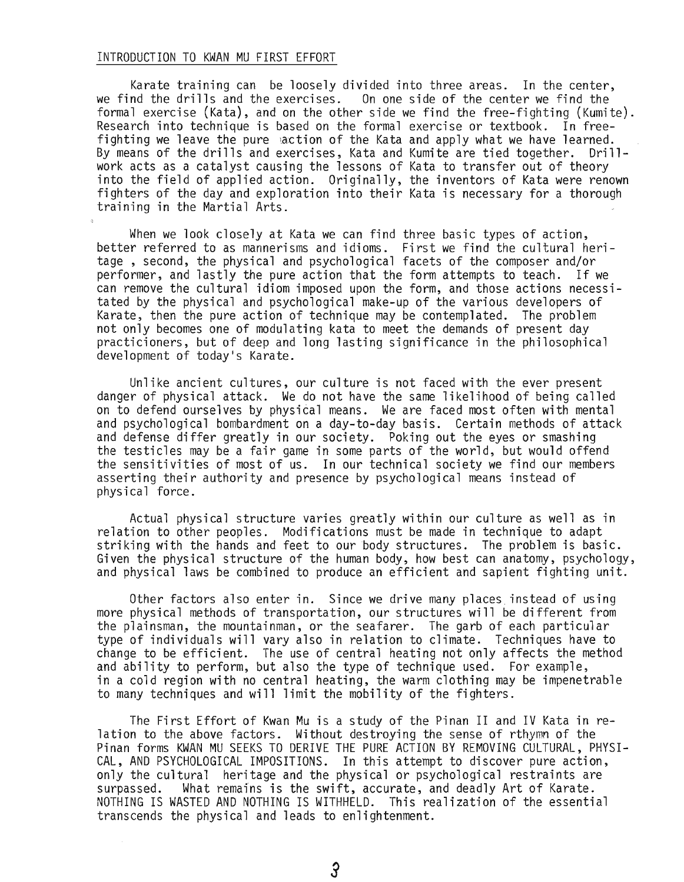#### INTRODUCTION TO KWAN MU FIRST EFFORT

Karate training can be loosely divided into three areas. In the center,<br>we find the drills and the exercises. On one side of the center we find the On one side of the center we find the formal exercise (Kata), and on the other side we find the free-fighting (Kumite). Research into technique is based on the formal exercise or textbook. In freefighting we leave the pure action of the Kata and apply what we have learned. By means of the drills and exercises, Kata and Kumite are tied together. Drillwork acts as a catalyst causing the lessons of Kata to transfer out of theory into the field of applied action. Originally, the inventors of Kata were renown fighters of the day and exploration into their Kata is necessary for a thorough training in the Martial Arts.

When we look closely at Kata we can find three basic types of action, better referred to as mannerisms and idioms. First we find the cultural heritage , second, the physical and psychological facets of the composer and/or performer, and lastly the pure action that the form attempts to teach. If we can remove the cultural idiom imposed upon the form, and those actions necessitated by the physical and psychological make-up of the various developers of Karate, then the pure action of technique may be contemplated. The problem not only becomes one of modulating kata to meet the demands of present day practicioners, but of deep and long lasting significance in the philosophical development of today's Karate.

Unlike ancient cultures, our culture is not faced with the ever present danger of physical attack. We do not have the same likelihood of being called on to defend ourselves by physical means. We are faced most often with mental and psychological bombardment on a day-to-day basis. Certain methods of attack and defense differ greatly in our society. Poking out the eyes or smashing the testicles may be a fair game in some parts of the world, but would offend the sensitivities of most of us. In our technical society we find our members asserting their authority and presence by psychological means instead of physical force.

Actual physical structure varies greatly within our culture as well as in relation to other peoples. Modifications must be made in technique to adapt striking with the hands and feet to our body structures. The problem is basic. Given the physical structure of the human body, how best can anatomy, psychology, and physical laws be combined to produce an efficient and sapient fighting unit.

Other factors also enter in. Since we drive many places instead of using more physical methods of transportation, our structures will be different from the plainsman, the mountainman, or the seafarer. The garb of each particular type of individuals will vary also in relation to climate. Techniques have to change to be efficient. The use of central heating not only affects the method and ability to perform, but also the type of technique used. For example, in a cold region with no central heating, the warm clothing may be impenetrable to many techniques and will limit the mobility of the fighters.

The First Effort of Kwan Mu is a study of the Pinan II and IV Kata in relation to the above factors. Without destroying the sense of rthymn of the Pinan forms KWAN MU SEEKS TO DERIVE THE PURE ACTION BY REMOVING CULTURAL, PHYSI-CAL, AND PSYCHOLOGICAL IMPOSITIONS. In this attempt to discover pure action, only the cultural heritage and the physical or psychological restraints are surpassed. What remains is the swift, accurate, and deadly Art of Karate. What remains is the swift, accurate, and deadly Art of Karate. NOTHING IS WASTED AND NOTHING IS WITHHELD. This realization of the essential transcends the physical and leads to enlightenment.

 $\mathcal{S}$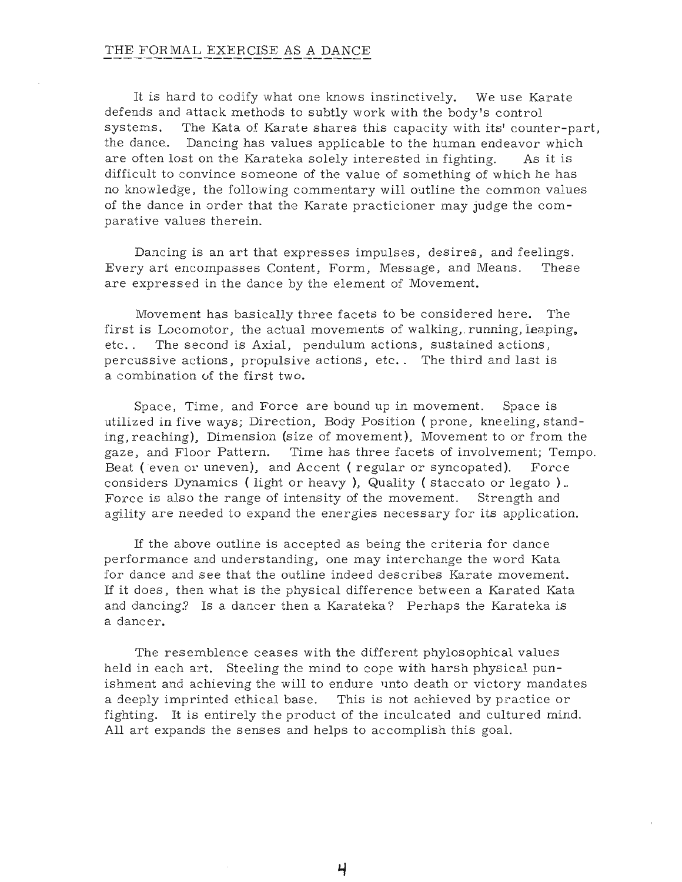### THE FOR MAL EXERCISE AS A DANCE

It is hard to codify what one knows instinctively. We use Karate defends and attack methods to subtly work with the body's control systems. The Kata of Karate shares this capacity with its' counter-part, the dance.. Dancing has values applicable to the human endeavor which are often lost on the Karateka solely interested in fighting. As it is difficult to convince someone of the value of something of which he has no knowledge, the following commentary will outline the common values of the dance in order that the Karate practicioner may judge the comparative values therein.

Dancing is an art that expresses impulses, desires, and feelings. Every art encompasses Content, Form, Message, and Means. These are expressed in the dance by the element of Movement.

Movement has basically three facets to be considered here. The first is Locomotor, the actual movements of walking,. running, leaping, etc. . The second is Axial, pendulum actions, sustained actions, percussive actions, propulsive actions, etc.. The third and last is a combination of the first two.

Space, Time, and Force are bound up in movement. Space is utilized in five ways; Direction, Body Position (prone, kneeling, standing, reaching), Dimension (size of movement), Movement to or from the gaze, and Floor Pattern. Time has three facets of involvement; Tempo. Beat (even or uneven), and Accent (regular or syncopated). Force considers Dynamics ( light or heavy), Quality ( staccato or legato) .. Force is also the range of intensity of the movement. Strength and agility are needed to expand the energies necessary for its application.

If the above outline is accepted as being the criteria for dance performance and understanding, one may interchange the word Kata for dance and see that the outline indeed describes Karate movement. If it does, then what is the physical difference between a Karated Kata and dancing.? Is a dancer then a Karateka? Perhaps the Karateka is a dancer.

The resemblence ceases with the different phylosophical values held in each art. Steeling the mind to cope with harsh physical punishment and achieving the will to endure unto death or victory mandates a deeply imprinted ethical base. This is not achieved by practice or fighting. It is entirely the product of the inculcated and cultured mind. All art expands the senses and helps to accomplish this goal.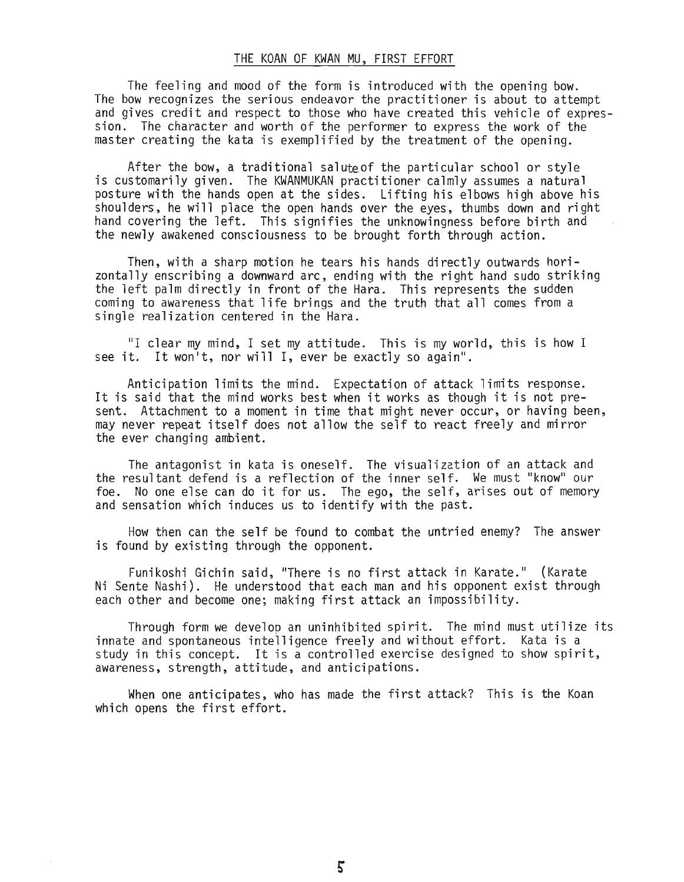#### THE KOAN OF KWAN MU, FIRST EFFORT

The feeling and mood of the form is introduced with the opening bow. The bow recognizes the serious endeavor the practitioner is about to attempt and gives credit and respect to those who have created this vehicle of expression. The character and worth of the performer to express the work of the master creating the kata is exemplified by the treatment of the opening.

After the bow, a traditional saluteof the particular school or style is customarily given. The KWANMUKAN practitioner calmly assumes a natural posture with the hands open at the sides. Lifting his elbows high above his shoulders, he will place the open hands ever the eyes, thumbs down and right hand covering the left. This signifies the unknowingness before birth and the newly awakened consciousness to be brought forth through action.

Then, with a sharp motion he tears his hands directly outwards horizontally enscribing a downward arc, ending with the right hand sudo striking the left palm directly in front of the Hara. This represents the sudden coming to awareness that life brings and the truth that all comes from a single realization centered in the Hara.

"I clear my mind, I set my attitude. This is my world, this is how I see it. It won't, nor will I, ever be exactly so again".

Anticipation limits the mind. Expectation of attack limits response. It is said that the mind works best when it works as though it is not present. Attachment to a moment in time that might never occur, or having been, may never repeat itself does not allow the self to react freely and mirror the ever changing ambient.

The antagonist in kata is oneself. The visualization of an attack and the resultant defend is a reflection of the inner self. We must "know" our foe. No one else can do it for us. The ego, the self, arises out of memory and sensation which induces us to identify with the past.

How then can the self be found to combat the untried enemy? The answer is found by existing through the opponent.

Funikoshi Gichin said, "There is no first attack in Karate." (Karate Ni Sente Nashi). He understood that each man and his opponent exist through each other and become one; making first attack an impossibility.

Through form we develop an uninhibited spirit. The mind must utilize its innate and spontaneous intelligence freely and without effort. Kata is a study in this concept. It is a controlled exercise designed to show spirit, awareness, strength, attitude, and anticipations.

When one anticipates, who has made the first attack? This is the Koan which opens the first effort.

5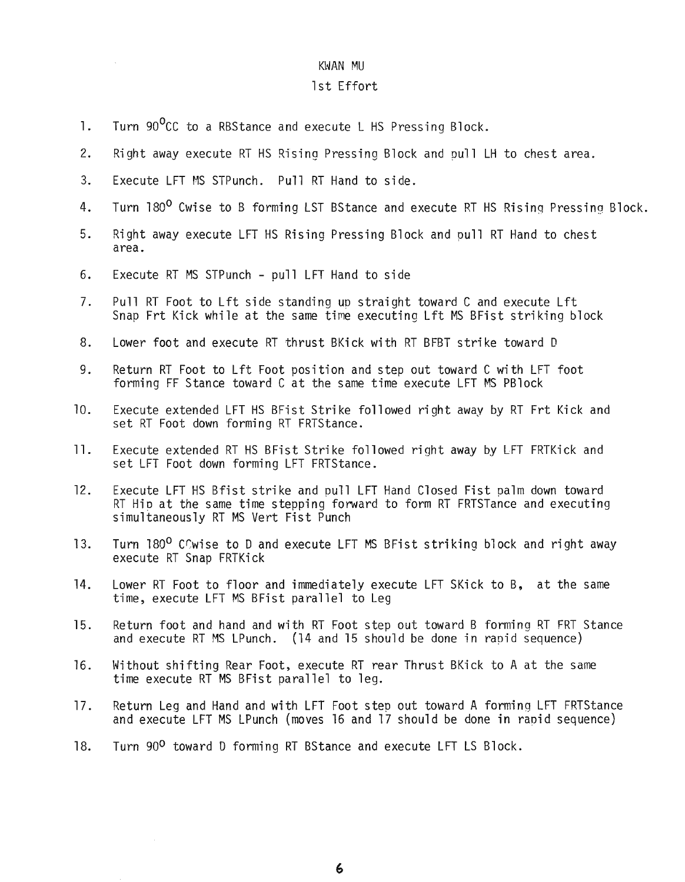## 1st Effort

- 1. Turn 90<sup>o</sup>CC to a RBStance and execute L HS Pressing Block.
- 2. Right away execute RT HS Rising Pressing Block and pull LH to chest area.
- 3. Execute LFT MS STPunch. Pull RT Hand to side.
- 4. Turn 180<sup>0</sup> Cwise to B forming LST BStance and execute RT HS Rising Pressing Block.
- 5. Right away execute LFT HS Rising Pressing Block and pull RT Hand to chest area.
- 6. Execute RT MS STPunch pull LFT Hand to side
- 7. Pull RT Foot to Lft side standing up straight toward C and execute Lft Snap Frt Kick while at the same time executing Lft MS BFist striking block
- 8. Lower foot and execute RT thrust BKick with RT BFBT strike toward D
- 9. Return RT Foot to Lft Foot position and step out toward C with LFT foot forming FF Stance toward C at the same time execute LFT MS PBlock
- 10. Execute extended LFT HS BFist Strike followed right away by RT Frt Kick and set RT Foot down forming RT FRTStance.
- 11. Execute extended RT HS BFist Strike followed right away by lFT FRTKick and set LFT Foot down forming LFT FRTStance.
- 12. Execute LFT HS Bfist strike and pull LFT Hand Closed Fist palm down toward RT HiD at the same time stepping forward to form RT FRTSTance and executing simultaneously RT MS Vert Fist Punch
- 13. Turn 180<sup>0</sup> COwise to D and execute LFT MS BFist striking block and right away execute RT Snap FRTKick
- 14. Lower RT Foot to floor and immediately execute LFT SKick to B, at the same time, execute LFT MS BFist parallel to Leg
- 15. Return foot and hand and with RT Foot step out toward B forming RT FRT Stance and execute RT MS LPunch. (14 and 15 should be done in rapid sequence)
- 16. Hithout shifting Rear Foot, execute RT rear Thrust BKick to A at the same time execute RT MS BFist parallel to leg.
- 17. Return Leg and Hand and with LFT Foot step out toward A forming LFT FRTStance and execute LFT MS LPunch (moves 16 and 17 should be done in rapid sequence)
- 18. Turn 90<sup>0</sup> toward D forming RT BStance and execute LFT LS Block.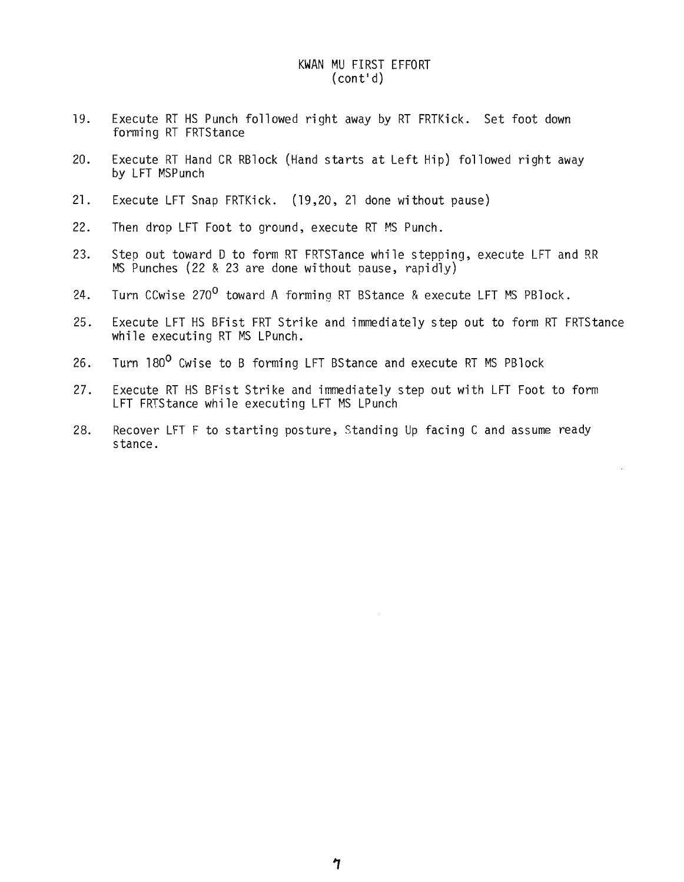# KWAN MU FIRST EFFORT (cont'd)

- 19. Execute RT HS Punch followed right away by RT FRTKick. Set foot down forming RT FRTStance
- 20. Execute RT Hand CR RBlock (Hand starts at Left Hip) followed right away by LFT MSPunch
- 21. Execute LFT Snap FRTKick. (19,20, <sup>21</sup> done without pause)
- 22. Then drop LFT Foot to ground, execute RT MS Punch.
- 23. Step out toward D to form RT FRTSTance while stepping, execute LFT and RR MS Punches (22 & 23 are done without pause, rapidly)
- 24. Turn CCwise 270<sup>0</sup> toward A forming RT BStance & execute LFT MS PBlock.
- 25. Execute LFT HS BFist FRT Strike and immediately step out to form RT FRTStance while executing RT MS LPunch.
- 26. Turn 180<sup>0</sup> Cwise to B forming LFT BStance and execute RT MS PBlock
- 27. Execute RT HS BFist Strike and immediately step out with LFT Foot to form LFT FRTStance while executing LFT MS LPunch
- 28. Recover LFT F to starting posture, Standing Up facing C and assume ready stance.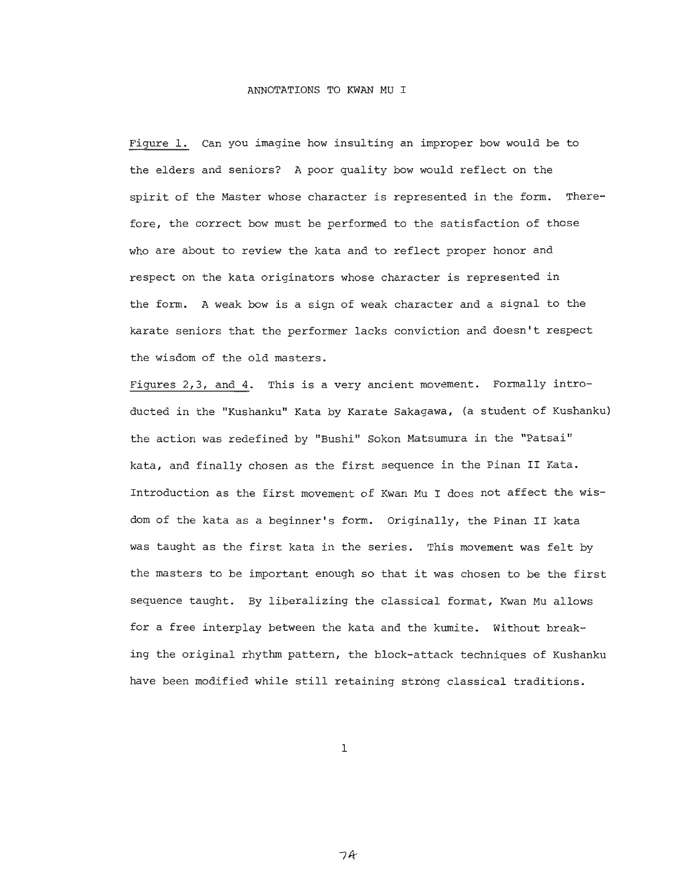Figure 1. Can you imagine how insulting an improper bow would be to the elders and seniors? A poor quality bow would reflect on the spirit of the Master whose character is represented in the form. Therefore, the correct bow must be performed to the satisfaction of those who are about to review the kata and to reflect proper honor and respect on the kata originators whose character is represented in the form. A weak bow is a sign of weak character and a signal to the karate seniors that the performer lacks conviction and doesn't respect the wisdom of the old masters.

Figures 2,3, and 4. This is a very ancient movement. Formally introducted in the "Kushanku" Kata by Karate Sakagawa, (a student of Kushanku) the action was redefined by "Bushi" Sokon Matsumura in the "Patsai" kata, and finally chosen as the first sequence in the Pinan II Kata. Introduction as the first movement of Kwan Mu <sup>I</sup> does not affect the wisdom of the kata as a beginner's form. Originally, the Pinan II kata was taught as the first kata in the series. This movement was felt by the masters to be important enough so that it was chosen to be the first sequence taught. By liberalizing the classical format, Kwan Mu allows for a free interplay between the kata and the kumite. Without breaking the original rhythm pattern, the block-attack techniques of Kushanku have been modified while still retaining strong classical traditions.

1

7A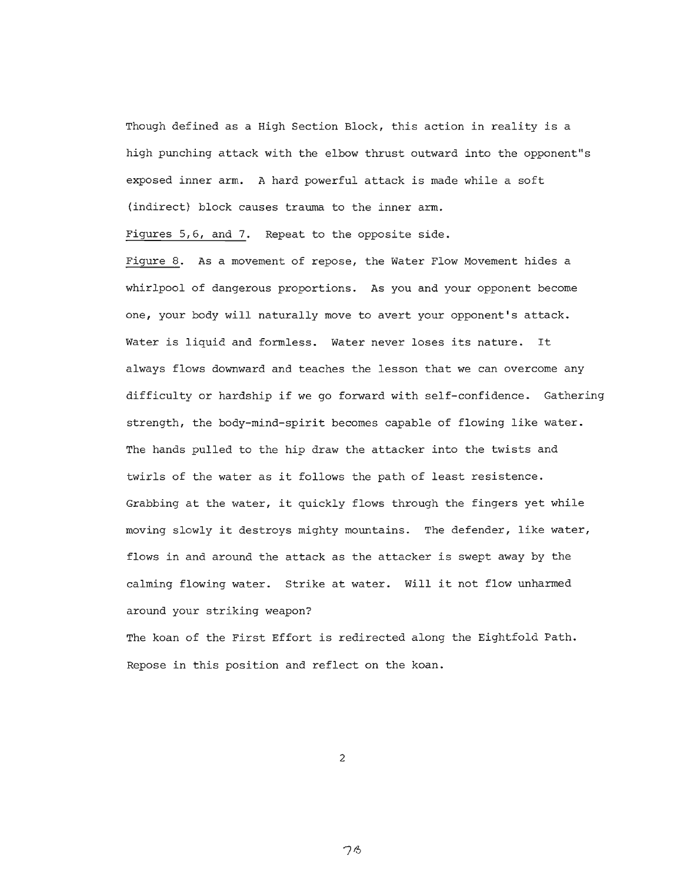Though defined as <sup>a</sup> High Section Block, this action in reality is <sup>a</sup> high punching attack with the elbow thrust outward into the opponent"s exposed inner arm. A hard powerful attack is made while a soft (indirect) block causes trauma to the inner arm.

Figures 5,6, and 7. Repeat to the opposite side.

Figure 8. As a movement of repose, the Water Flow Movement hides a whirlpool of dangerous proportions. As you and your opponent become one, your body will naturally move to avert your opponent's attack. Water is liquid and formless. Water never loses its nature. It always flows downward and teaches the lesson that we can overcome any difficulty or hardship if we go forward with self-confidence. Gathering strength, the body-mind-spirit becomes capable of flowing like water. The hands pulled to the hip draw the attacker into the twists and twirls of the water as it follows the path of least resistence. Grabbing at the water, it quickly flows through the fingers yet while moving slowly it destroys mighty mountains. The defender, like water, flows in and around the attack as the attacker is swept away by the calming flowing water. Strike at water. will it not flow unharmed around your striking weapon?

The koan of the First Effort is redirected along the Eightfold Path. Repose in this position and reflect on the koan.

2

 $76$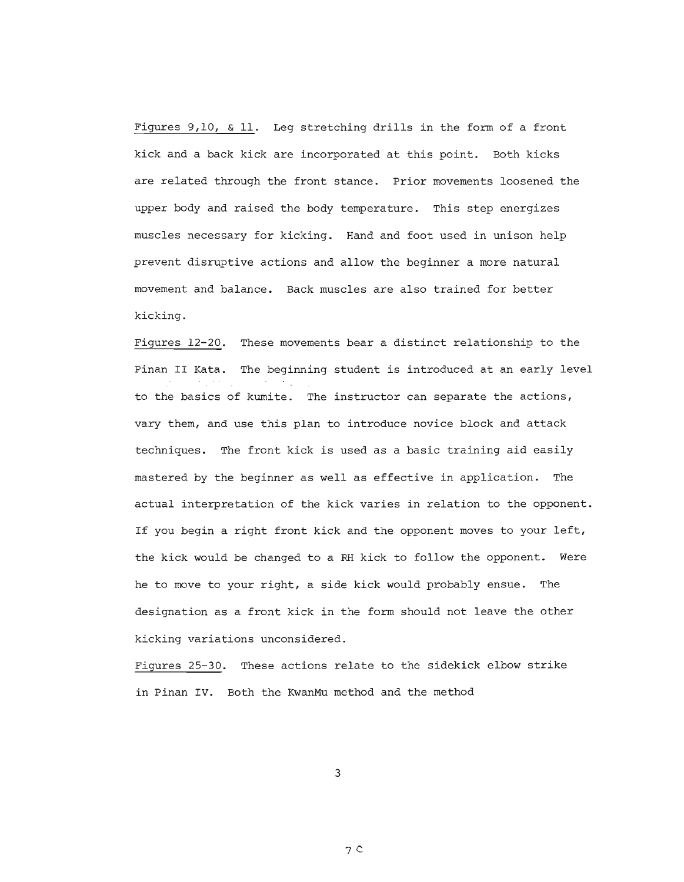Figures 9,10, & 11. Leg stretching drills in the form of a front kick and a back kick are incorporated at this point. Both kicks are related through the front stance. Prior movements loosened the upper body and raised the body temperature. This step energizes muscles necessary for kicking. Hand and foot used in unison help prevent disruptive actions and allow the beginner a more natural movement and balance. Back muscles are also trained for better kicking.

Figures 12-20. These movements bear a distinct relationship to the Pinan II Kata. The beginning student is introduced at an early level to the basics of kumite. The instructor can separate the actions, vary them, and use this plan to introduce novice block and attack techniques. The front kick is used as a basic training aid easily mastered by the beginner as well as effective in application. The actual interpretation of the kick varies in relation to the opponent. If you begin <sup>a</sup> right front kick and the opponent moves to your left, the kick would be changed to a RH kick to follow the opponent. Were he to move to your right, a side kick would probably ensue. The designation as a front kick in the form should not leave the other kicking variations unconsidered.

Figures 25-30. These actions relate to the sidekick elbow strike in Pinan IV. Both the KwanMu method and the method

3

 $7c$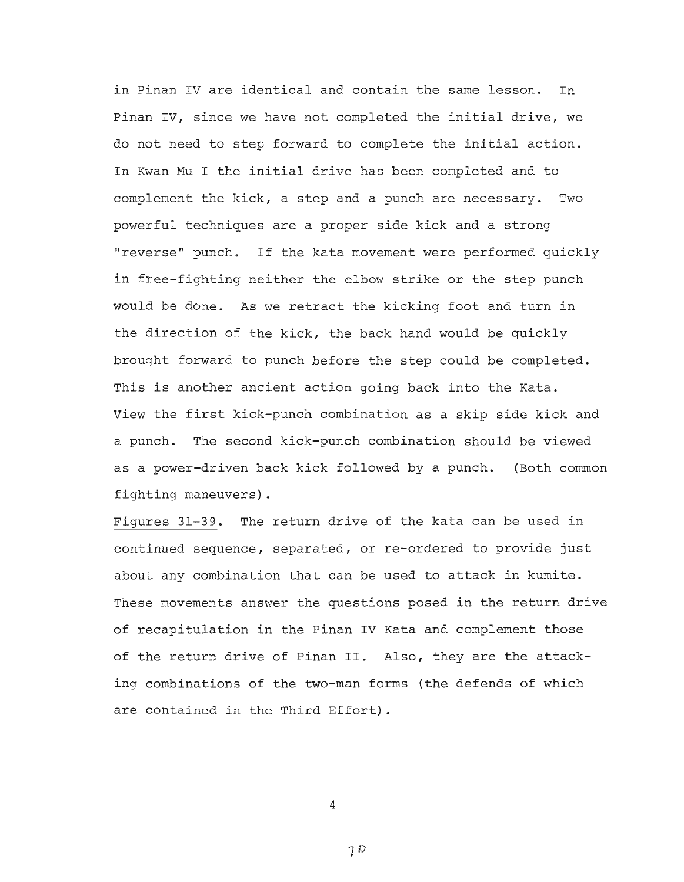in Pinan IV are identical and contain the same lesson. In Pinan IV, since we have not completed the initial drive, we do not need to step forward to complete the initial action. In Kwan Mu <sup>I</sup> the initial drive has been completed and to complement the kick, a step and a punch are necessary. Two powerful techniques are a proper side kick and a strong "reverse" punch. If the kata movement were performed quickly in free-fighting neither the elbow strike or the step punch would be done. As we retract the kicking foot and turn in the direction of the kick, the back hand would be quickly brought forward to punch before the step could be completed. This is another ancient action going back into the Kata. View the first kick-punch combination as <sup>a</sup> skip side kick and a punch. The second kick-punch combination should be viewed as a power-driven back kick followed by a punch. (Both common fighting maneuvers).

Figures 31-39. The return drive of the kata can be used in continued sequence, separated, or re-ordered to provide just about any combination that can be used to attack in kumite. These movements answer the questions posed in the return drive of recapitulation in the Pinan IV Kata and complement those of the return drive of Pinan **II.** Also, they are the attacking combinations of the two-man forms (the defends of which are contained in the Third Effort) .

4

 $7D$